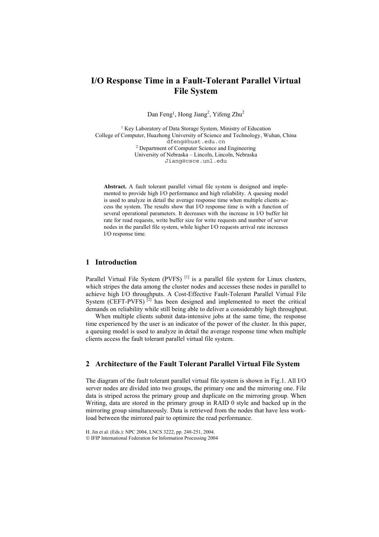# **I/O Response Time in a Fault-Tolerant Parallel Virtual File System**

Dan Feng<sup>1</sup>, Hong Jiang<sup>2</sup>, Yifeng Zhu<sup>2</sup>

<sup>1</sup> Key Laboratory of Data Storage System, Ministry of Education College of Computer, Huazhong University of Science and Technology, Wuhan, China dfeng@hust.edu.cn 2 Department of Computer Science and Engineering University of Nebraska – Lincoln, Lincoln, Nebraska Jiang@csce.unl.edu

**Abstract.** A fault tolerant parallel virtual file system is designed and implemented to provide high I/O performance and high reliability. A queuing model is used to analyze in detail the average response time when multiple clients access the system. The results show that I/O response time is with a function of several operational parameters. It decreases with the increase in I/O buffer hit rate for read requests, write buffer size for write requests and number of server nodes in the parallel file system, while higher I/O requests arrival rate increases I/O response time.

# **1 Introduction**

Parallel Virtual File System (PVFS)<sup>[1]</sup> is a parallel file system for Linux clusters, which stripes the data among the cluster nodes and accesses these nodes in parallel to achieve high I/O throughputs. A Cost-Effective Fault-Tolerant Parallel Virtual File System (CEFT-PVFS)<sup>[2]</sup> has been designed and implemented to meet the critical demands on reliability while still being able to deliver a considerably high throughput.

When multiple clients submit data-intensive jobs at the same time, the response time experienced by the user is an indicator of the power of the cluster. In this paper, a queuing model is used to analyze in detail the average response time when multiple clients access the fault tolerant parallel virtual file system.

## **2 Architecture of the Fault Tolerant Parallel Virtual File System**

The diagram of the fault tolerant parallel virtual file system is shown in Fig.1. All I/O server nodes are divided into two groups, the primary one and the mirroring one. File data is striped across the primary group and duplicate on the mirroring group. When Writing, data are stored in the primary group in RAID 0 style and backed up in the mirroring group simultaneously. Data is retrieved from the nodes that have less workload between the mirrored pair to optimize the read performance.

H. Jin et al. (Eds.): NPC 2004, LNCS 3222, pp. 248-251, 2004. IFIP International Federation for Information Processing 2004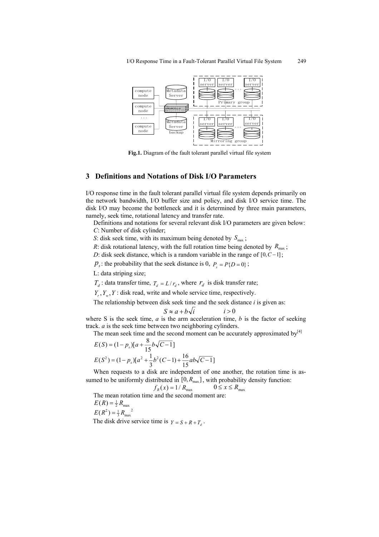

**Fig.1.** Diagram of the fault tolerant parallel virtual file system

### **3 Definitions and Notations of Disk I/O Parameters**

I/O response time in the fault tolerant parallel virtual file system depends primarily on the network bandwidth, I/O buffer size and policy, and disk I/O service time. The disk I/O may become the bottleneck and it is determined by three main parameters, namely, seek time, rotational latency and transfer rate.

Definitions and notations for several relevant disk I/O parameters are given below: *C*: Number of disk cylinder;

- *S*: disk seek time, with its maximum being denoted by  $S_{\text{max}}$ ;
- *R*: disk rotational latency, with the full rotation time being denoted by  $R_{\text{max}}$ ;
- *D*: disk seek distance, which is a random variable in the range of  $[0, C-1]$ ;
- $P_s$ : the probability that the seek distance is 0,  $P_s = P\{D = 0\}$ ;

L: data striping size;

 $T_d$ : data transfer time,  $T_d = L / r_d$ , where  $r_d$  is disk transfer rate;

 $Y_r$ ,  $Y_w$ ,  $Y$  : disk read, write and whole service time, respectively.

The relationship between disk seek time and the seek distance *i* is given as:

$$
S \approx a + b\sqrt{i} \qquad i > 0
$$

where S is the seek time, *a* is the arm acceleration time, *b* is the factor of seeking track. *a* is the seek time between two neighboring cylinders.

The mean seek time and the second moment can be accurately approximated by<sup>[4]</sup>

$$
E(S) = (1 - p_s)[a + \frac{8}{15}b\sqrt{C - 1}]
$$
  

$$
E(S2) = (1 - p_s)[a2 + \frac{1}{3}b2(C - 1) + \frac{16}{15}ab\sqrt{C - 1}]
$$

When requests to a disk are independent of one another, the rotation time is assumed to be uniformly distributed in  $[0, R_{\text{max}}]$ , with probability density function:

$$
f_R(x) = 1/R_{\text{max}} \qquad 0 \le x \le R_n
$$

The mean rotation time and the second moment are:

$$
E(R) = \frac{1}{2} R_{\text{max}}
$$
  

$$
E(R^2) = \frac{1}{3} R_{\text{max}}^2
$$

$$
E(R^2) = \frac{1}{3}R_{\text{max}}
$$

The disk drive service time is  $Y = S + R + T$ .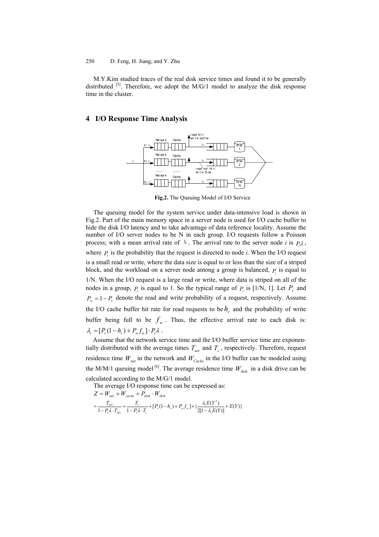M.Y.Kim studied traces of the real disk service times and found it to be generally distributed  $[5]$ . Therefore, we adopt the M/G/1 model to analyze the disk response time in the cluster.

### **4 I/O Response Time Analysis**



**Fig.2.** The Queuing Model of I/O Service

The queuing model for the system service under data-intensive load is shown in Fig.2. Part of the main memory space in a server node is used for I/O cache buffer to hide the disk I/O latency and to take advantage of data reference locality. Assume the number of I/O server nodes to be N in each group. I/O requests follow a Poisson process; with a mean arrival rate of  $\lambda$ . The arrival rate to the server node *i* is  $P_i \lambda$ , where  $P_i$  is the probability that the request is directed to node *i*. When the I/O request is a small read or write, where the data size is equal to or less than the size of a striped block, and the workload on a server node among a group is balanced,  $P_i$  is equal to 1/N. When the I/O request is a large read or write, where data is striped on all of the nodes in a group,  $P_i$  is equal to 1. So the typical range of  $P_i$  is [1/N, 1]. Let  $P_r$  and  $P_w = 1 - P_r$  denote the read and write probability of a request, respectively. Assume the I/O cache buffer hit rate for read requests to be  $h_r$  and the probability of write buffer being full to be  $f_w$ . Thus, the effective arrival rate to each disk is:  $\lambda_i = [P_r(1 - h_r) + P_w f_w] \cdot P_i \lambda$ .

Assume that the network service time and the I/O buffer service time are exponentially distributed with the average times  $T_{net}$  and  $T_c$ , respectively. Therefore, request residence time  $W_{net}$  in the network and  $W_{Cache}$  in the I/O buffer can be modeled using the M/M/1 queuing model<sup>[6]</sup>. The average residence time  $W_{disk}$  in a disk drive can be calculated according to the M/G/1 model.

The average I/O response time can be expressed as:

$$
Z = W_{net} + W_{cache} + P_{disk} \cdot W_{disk}
$$
  
= 
$$
\frac{T_{net}}{1 - P_i \lambda \cdot T_{net}} + \frac{T_c}{1 - P_i \lambda \cdot T_c} + [P_r(1 - h_r) + P_w f_w] \times \left\{ \frac{\lambda_i E(Y^2)}{2[1 - \lambda_i E(Y)]} + E(Y) \right\}
$$